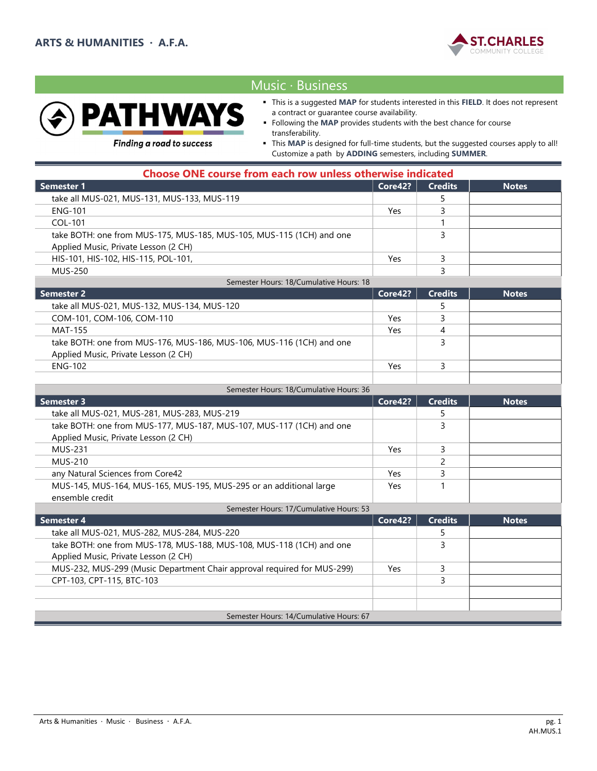



Applied Music, Private Lesson (2 CH)

# Music ∙ Business

- This is a suggested MAP for students interested in this FIELD. It does not represent a contract or guarantee course availability.
- Following the MAP provides students with the best chance for course transferability.

**Finding a road to success** 

 This MAP is designed for full-time students, but the suggested courses apply to all! Customize a path by ADDING semesters, including SUMMER.

| <b>Choose ONE course from each row unless otherwise indicated</b>    |            |                |              |
|----------------------------------------------------------------------|------------|----------------|--------------|
| <b>Semester 1</b>                                                    | Core42?    | <b>Credits</b> | <b>Notes</b> |
| take all MUS-021, MUS-131, MUS-133, MUS-119                          |            |                |              |
| <b>ENG-101</b>                                                       | Yes.       |                |              |
| COL-101                                                              |            |                |              |
| take BOTH: one from MUS-175, MUS-185, MUS-105, MUS-115 (1CH) and one |            | 3              |              |
| Applied Music, Private Lesson (2 CH)                                 |            |                |              |
| HIS-101, HIS-102, HIS-115, POL-101,                                  | Yes        | 3              |              |
| <b>MUS-250</b>                                                       |            | 3              |              |
| Semester Hours: 18/Cumulative Hours: 18                              |            |                |              |
| <b>Semester 2</b>                                                    | Core42?    | <b>Credits</b> | <b>Notes</b> |
| take all MUS-021, MUS-132, MUS-134, MUS-120                          |            |                |              |
| COM-101, COM-106, COM-110                                            | <b>Yes</b> | ₹              |              |
| <b>MAT-155</b>                                                       | Yes        | 4              |              |
| take BOTH: one from MUS-176, MUS-186, MUS-106, MUS-116 (1CH) and one |            |                |              |

| Semester Hours: 18/Cumulative Hours: 36                              |         |                |              |  |
|----------------------------------------------------------------------|---------|----------------|--------------|--|
| <b>Semester 3</b>                                                    | Core42? | <b>Credits</b> | <b>Notes</b> |  |
| take all MUS-021, MUS-281, MUS-283, MUS-219                          |         |                |              |  |
| take BOTH: one from MUS-177, MUS-187, MUS-107, MUS-117 (1CH) and one |         |                |              |  |
| Applied Music, Private Lesson (2 CH)                                 |         |                |              |  |
| <b>MUS-231</b>                                                       | Yes     |                |              |  |
| <b>MUS-210</b>                                                       |         |                |              |  |
| any Natural Sciences from Core42                                     | Yes     |                |              |  |
| MUS-145, MUS-164, MUS-165, MUS-195, MUS-295 or an additional large   | Yes     |                |              |  |
| ensemble credit                                                      |         |                |              |  |
| Semester Hours: 17/Cumulative Hours: 53                              |         |                |              |  |

 $\begin{array}{|c|c|c|c|c|}\n\hline\n\text{ENG-102} & & \text{Yes} & \text{3} \\
\hline\n\end{array}$ 

| Semester 4                                                              | Core42? | <b>Credits</b> | <b>Notes</b> |
|-------------------------------------------------------------------------|---------|----------------|--------------|
| take all MUS-021, MUS-282, MUS-284, MUS-220                             |         |                |              |
| take BOTH: one from MUS-178, MUS-188, MUS-108, MUS-118 (1CH) and one    |         |                |              |
| Applied Music, Private Lesson (2 CH)                                    |         |                |              |
| MUS-232, MUS-299 (Music Department Chair approval required for MUS-299) | Yes     |                |              |
| CPT-103, CPT-115, BTC-103                                               |         |                |              |
|                                                                         |         |                |              |
|                                                                         |         |                |              |
| Semester Hours: 14/Cumulative Hours: 67                                 |         |                |              |